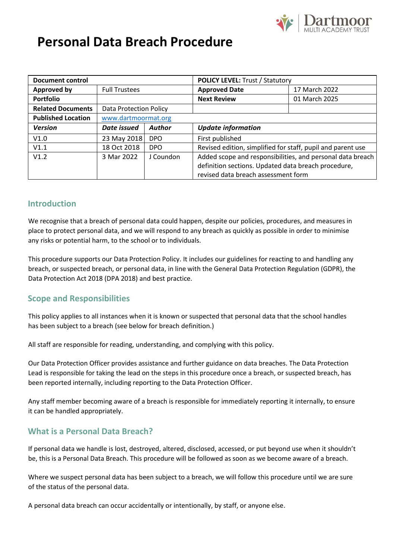

# **Personal Data Breach Procedure**

| <b>Document control</b>   |                        |               | <b>POLICY LEVEL: Trust / Statutory</b>                      |               |
|---------------------------|------------------------|---------------|-------------------------------------------------------------|---------------|
| <b>Approved by</b>        | <b>Full Trustees</b>   |               | <b>Approved Date</b>                                        | 17 March 2022 |
| <b>Portfolio</b>          |                        |               | <b>Next Review</b>                                          | 01 March 2025 |
| <b>Related Documents</b>  | Data Protection Policy |               |                                                             |               |
| <b>Published Location</b> | www.dartmoormat.org    |               |                                                             |               |
| <b>Version</b>            | Date issued            | <b>Author</b> | <b>Update information</b>                                   |               |
| V1.0                      | 23 May 2018            | DPO           | First published                                             |               |
| V1.1                      | 18 Oct 2018            | <b>DPO</b>    | Revised edition, simplified for staff, pupil and parent use |               |
| V1.2                      | 3 Mar 2022             | J Coundon     | Added scope and responsibilities, and personal data breach  |               |
|                           |                        |               | definition sections. Updated data breach procedure,         |               |
|                           |                        |               | revised data breach assessment form                         |               |

## **Introduction**

We recognise that a breach of personal data could happen, despite our policies, procedures, and measures in place to protect personal data, and we will respond to any breach as quickly as possible in order to minimise any risks or potential harm, to the school or to individuals.

This procedure supports our Data Protection Policy. It includes our guidelines for reacting to and handling any breach, or suspected breach, or personal data, in line with the General Data Protection Regulation (GDPR), the Data Protection Act 2018 (DPA 2018) and best practice.

## **Scope and Responsibilities**

This policy applies to all instances when it is known or suspected that personal data that the school handles has been subject to a breach (see below for breach definition.)

All staff are responsible for reading, understanding, and complying with this policy.

Our Data Protection Officer provides assistance and further guidance on data breaches. The Data Protection Lead is responsible for taking the lead on the steps in this procedure once a breach, or suspected breach, has been reported internally, including reporting to the Data Protection Officer.

Any staff member becoming aware of a breach is responsible for immediately reporting it internally, to ensure it can be handled appropriately.

# **What is a Personal Data Breach?**

If personal data we handle is lost, destroyed, altered, disclosed, accessed, or put beyond use when it shouldn't be, this is a Personal Data Breach. This procedure will be followed as soon as we become aware of a breach.

Where we suspect personal data has been subject to a breach, we will follow this procedure until we are sure of the status of the personal data.

A personal data breach can occur accidentally or intentionally, by staff, or anyone else.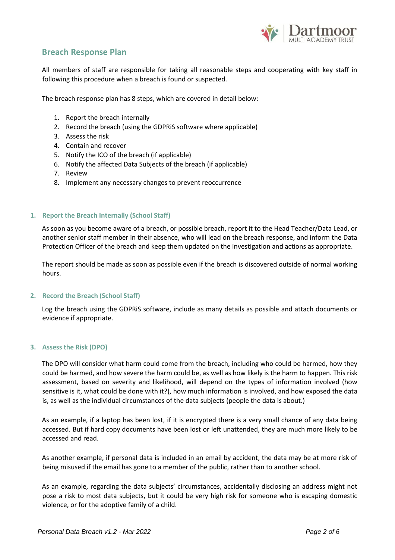

### **Breach Response Plan**

All members of staff are responsible for taking all reasonable steps and cooperating with key staff in following this procedure when a breach is found or suspected.

The breach response plan has 8 steps, which are covered in detail below:

- 1. Report the breach internally
- 2. Record the breach (using the GDPRiS software where applicable)
- 3. Assess the risk
- 4. Contain and recover
- 5. Notify the ICO of the breach (if applicable)
- 6. Notify the affected Data Subjects of the breach (if applicable)
- 7. Review
- 8. Implement any necessary changes to prevent reoccurrence

#### **1. Report the Breach Internally (School Staff)**

As soon as you become aware of a breach, or possible breach, report it to the Head Teacher/Data Lead, or another senior staff member in their absence, who will lead on the breach response, and inform the Data Protection Officer of the breach and keep them updated on the investigation and actions as appropriate.

The report should be made as soon as possible even if the breach is discovered outside of normal working hours.

#### **2. Record the Breach (School Staff)**

Log the breach using the GDPRiS software, include as many details as possible and attach documents or evidence if appropriate.

#### **3. Assess the Risk (DPO)**

The DPO will consider what harm could come from the breach, including who could be harmed, how they could be harmed, and how severe the harm could be, as well as how likely is the harm to happen. This risk assessment, based on severity and likelihood, will depend on the types of information involved (how sensitive is it, what could be done with it?), how much information is involved, and how exposed the data is, as well as the individual circumstances of the data subjects (people the data is about.)

As an example, if a laptop has been lost, if it is encrypted there is a very small chance of any data being accessed. But if hard copy documents have been lost or left unattended, they are much more likely to be accessed and read.

As another example, if personal data is included in an email by accident, the data may be at more risk of being misused if the email has gone to a member of the public, rather than to another school.

As an example, regarding the data subjects' circumstances, accidentally disclosing an address might not pose a risk to most data subjects, but it could be very high risk for someone who is escaping domestic violence, or for the adoptive family of a child.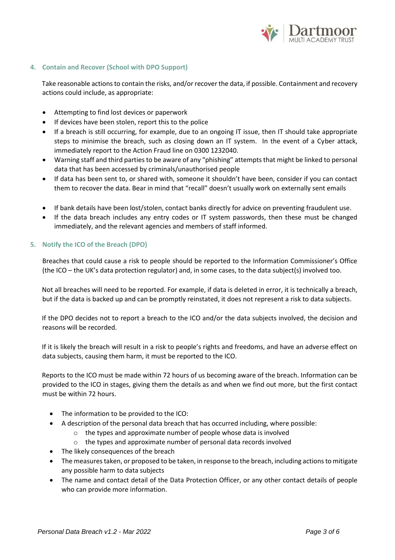

#### **4. Contain and Recover (School with DPO Support)**

Take reasonable actions to contain the risks, and/or recover the data, if possible. Containment and recovery actions could include, as appropriate:

- Attempting to find lost devices or paperwork
- If devices have been stolen, report this to the police
- If a breach is still occurring, for example, due to an ongoing IT issue, then IT should take appropriate steps to minimise the breach, such as closing down an IT system. In the event of a Cyber attack, immediately report to the Action Fraud line on 0300 1232040.
- Warning staff and third parties to be aware of any "phishing" attempts that might be linked to personal data that has been accessed by criminals/unauthorised people
- If data has been sent to, or shared with, someone it shouldn't have been, consider if you can contact them to recover the data. Bear in mind that "recall" doesn't usually work on externally sent emails
- If bank details have been lost/stolen, contact banks directly for advice on preventing fraudulent use.
- If the data breach includes any entry codes or IT system passwords, then these must be changed immediately, and the relevant agencies and members of staff informed.

#### **5. Notify the ICO of the Breach (DPO)**

Breaches that could cause a risk to people should be reported to the Information Commissioner's Office (the ICO – the UK's data protection regulator) and, in some cases, to the data subject(s) involved too.

Not all breaches will need to be reported. For example, if data is deleted in error, it is technically a breach, but if the data is backed up and can be promptly reinstated, it does not represent a risk to data subjects.

If the DPO decides not to report a breach to the ICO and/or the data subjects involved, the decision and reasons will be recorded.

If it is likely the breach will result in a risk to people's rights and freedoms, and have an adverse effect on data subjects, causing them harm, it must be reported to the ICO.

Reports to the ICO must be made within 72 hours of us becoming aware of the breach. Information can be provided to the ICO in stages, giving them the details as and when we find out more, but the first contact must be within 72 hours.

- The information to be provided to the ICO:
- A description of the personal data breach that has occurred including, where possible:
	- o the types and approximate number of people whose data is involved
	- o the types and approximate number of personal data records involved
- The likely consequences of the breach
- The measures taken, or proposed to be taken, in response to the breach, including actions to mitigate any possible harm to data subjects
- The name and contact detail of the Data Protection Officer, or any other contact details of people who can provide more information.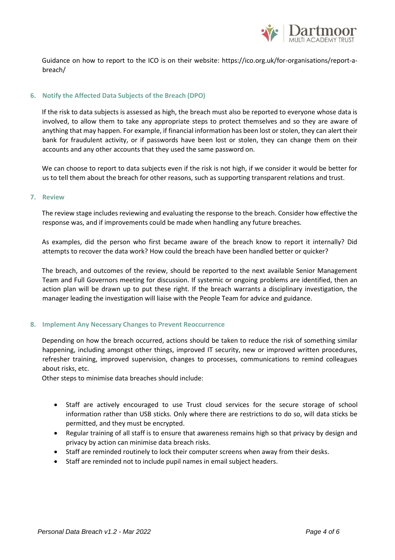

Guidance on how to report to the ICO is on their website: https://ico.org.uk/for-organisations/report-abreach/

#### **6. Notify the Affected Data Subjects of the Breach (DPO)**

If the risk to data subjects is assessed as high, the breach must also be reported to everyone whose data is involved, to allow them to take any appropriate steps to protect themselves and so they are aware of anything that may happen. For example, if financial information has been lost or stolen, they can alert their bank for fraudulent activity, or if passwords have been lost or stolen, they can change them on their accounts and any other accounts that they used the same password on.

We can choose to report to data subjects even if the risk is not high, if we consider it would be better for us to tell them about the breach for other reasons, such as supporting transparent relations and trust.

#### **7. Review**

The review stage includes reviewing and evaluating the response to the breach. Consider how effective the response was, and if improvements could be made when handling any future breaches.

As examples, did the person who first became aware of the breach know to report it internally? Did attempts to recover the data work? How could the breach have been handled better or quicker?

The breach, and outcomes of the review, should be reported to the next available Senior Management Team and Full Governors meeting for discussion. If systemic or ongoing problems are identified, then an action plan will be drawn up to put these right. If the breach warrants a disciplinary investigation, the manager leading the investigation will liaise with the People Team for advice and guidance.

#### **8. Implement Any Necessary Changes to Prevent Reoccurrence**

Depending on how the breach occurred, actions should be taken to reduce the risk of something similar happening, including amongst other things, improved IT security, new or improved written procedures, refresher training, improved supervision, changes to processes, communications to remind colleagues about risks, etc.

Other steps to minimise data breaches should include:

- Staff are actively encouraged to use Trust cloud services for the secure storage of school information rather than USB sticks. Only where there are restrictions to do so, will data sticks be permitted, and they must be encrypted.
- Regular training of all staff is to ensure that awareness remains high so that privacy by design and privacy by action can minimise data breach risks.
- Staff are reminded routinely to lock their computer screens when away from their desks.
- Staff are reminded not to include pupil names in email subject headers.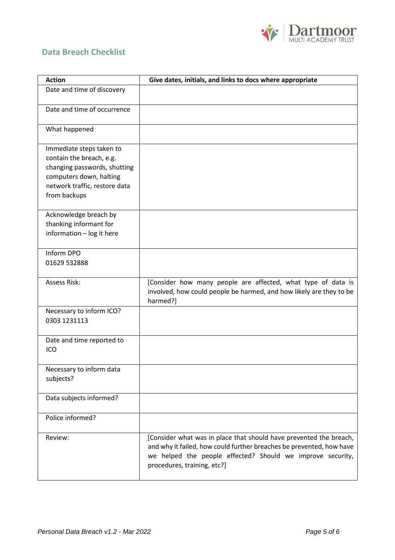

# **Data Breach Checklist**

| <b>Action</b>                                                                                                                                                    | Give dates, initials, and links to docs where appropriate                                                                                                                                                                               |
|------------------------------------------------------------------------------------------------------------------------------------------------------------------|-----------------------------------------------------------------------------------------------------------------------------------------------------------------------------------------------------------------------------------------|
| Date and time of discovery                                                                                                                                       |                                                                                                                                                                                                                                         |
| Date and time of occurrence                                                                                                                                      |                                                                                                                                                                                                                                         |
| What happened                                                                                                                                                    |                                                                                                                                                                                                                                         |
| Immediate steps taken to<br>contain the breach, e.g.<br>changing passwords, shutting<br>computers down, halting<br>network traffic, restore data<br>from backups |                                                                                                                                                                                                                                         |
| Acknowledge breach by<br>thanking informant for<br>information - log it here                                                                                     |                                                                                                                                                                                                                                         |
| Inform DPO<br>01629 532888                                                                                                                                       |                                                                                                                                                                                                                                         |
| <b>Assess Risk:</b>                                                                                                                                              | [Consider how many people are affected, what type of data is<br>involved, how could people be harmed, and how likely are they to be<br>harmed?]                                                                                         |
| Necessary to inform ICO?<br>0303 1231113                                                                                                                         |                                                                                                                                                                                                                                         |
| Date and time reported to<br>ICO                                                                                                                                 |                                                                                                                                                                                                                                         |
| Necessary to inform data<br>subjects?                                                                                                                            |                                                                                                                                                                                                                                         |
| Data subjects informed?                                                                                                                                          |                                                                                                                                                                                                                                         |
| Police informed?                                                                                                                                                 |                                                                                                                                                                                                                                         |
| Review:                                                                                                                                                          | [Consider what was in place that should have prevented the breach,<br>and why it failed, how could further breaches be prevented, how have<br>we helped the people effected? Should we improve security,<br>procedures, training, etc?] |